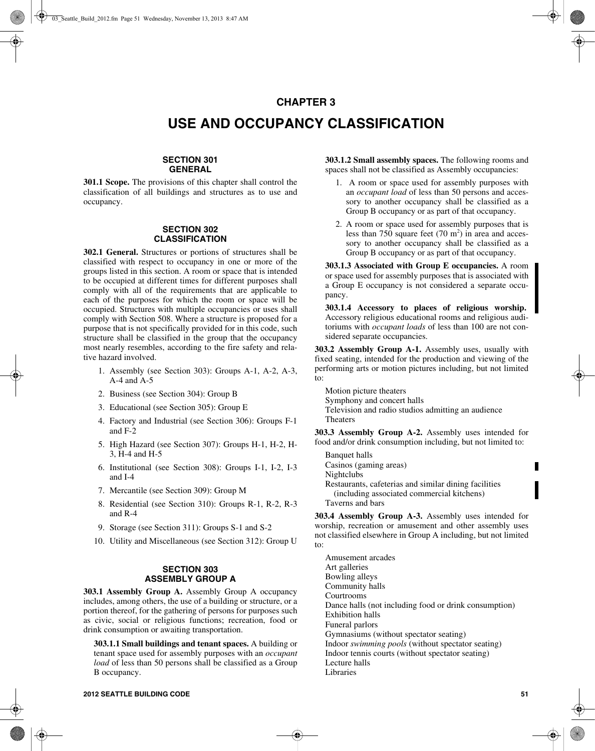# **CHAPTER 3**

# **USE AND OCCUPANCY CLASSIFICATION**

# **SECTION 301 GENERAL**

**301.1 Scope.** The provisions of this chapter shall control the classification of all buildings and structures as to use and occupancy.

## **SECTION 302 CLASSIFICATION**

**302.1 General.** Structures or portions of structures shall be classified with respect to occupancy in one or more of the groups listed in this section. A room or space that is intended to be occupied at different times for different purposes shall comply with all of the requirements that are applicable to each of the purposes for which the room or space will be occupied. Structures with multiple occupancies or uses shall comply with Section 508. Where a structure is proposed for a purpose that is not specifically provided for in this code, such structure shall be classified in the group that the occupancy most nearly resembles, according to the fire safety and relative hazard involved.

- 1. Assembly (see Section 303): Groups A-1, A-2, A-3,  $A-4$  and  $A-5$
- 2. Business (see Section 304): Group B
- 3. Educational (see Section 305): Group E
- 4. Factory and Industrial (see Section 306): Groups F-1 and F-2
- 5. High Hazard (see Section 307): Groups H-1, H-2, H-3, H-4 and H-5
- 6. Institutional (see Section 308): Groups I-1, I-2, I-3 and I-4
- 7. Mercantile (see Section 309): Group M
- 8. Residential (see Section 310): Groups R-1, R-2, R-3 and R-4
- 9. Storage (see Section 311): Groups S-1 and S-2
- 10. Utility and Miscellaneous (see Section 312): Group U

## **SECTION 303 ASSEMBLY GROUP A**

**303.1 Assembly Group A.** Assembly Group A occupancy includes, among others, the use of a building or structure, or a portion thereof, for the gathering of persons for purposes such as civic, social or religious functions; recreation, food or drink consumption or awaiting transportation.

**303.1.1 Small buildings and tenant spaces.** A building or tenant space used for assembly purposes with an *occupant load* of less than 50 persons shall be classified as a Group B occupancy.

**303.1.2 Small assembly spaces.** The following rooms and spaces shall not be classified as Assembly occupancies:

- 1. A room or space used for assembly purposes with an *occupant load* of less than 50 persons and accessory to another occupancy shall be classified as a Group B occupancy or as part of that occupancy.
- 2. A room or space used for assembly purposes that is less than 750 square feet  $(70 \text{ m}^2)$  in area and accessory to another occupancy shall be classified as a Group B occupancy or as part of that occupancy.

**303.1.3 Associated with Group E occupancies.** A room or space used for assembly purposes that is associated with a Group E occupancy is not considered a separate occupancy.

**303.1.4 Accessory to places of religious worship.**  Accessory religious educational rooms and religious auditoriums with *occupant loads* of less than 100 are not considered separate occupancies.

**303.2 Assembly Group A-1.** Assembly uses, usually with fixed seating, intended for the production and viewing of the performing arts or motion pictures including, but not limited to:

Motion picture theaters Symphony and concert halls Television and radio studios admitting an audience Theaters

**303.3 Assembly Group A-2.** Assembly uses intended for food and/or drink consumption including, but not limited to:

Banquet halls Casinos (gaming areas) Nightclubs Restaurants, cafeterias and similar dining facilities (including associated commercial kitchens) Taverns and bars

**303.4 Assembly Group A-3.** Assembly uses intended for worship, recreation or amusement and other assembly uses not classified elsewhere in Group A including, but not limited to:

Amusement arcades Art galleries Bowling alleys Community halls Courtrooms Dance halls (not including food or drink consumption) Exhibition halls Funeral parlors Gymnasiums (without spectator seating) Indoor *swimming pools* (without spectator seating) Indoor tennis courts (without spectator seating) Lecture halls Libraries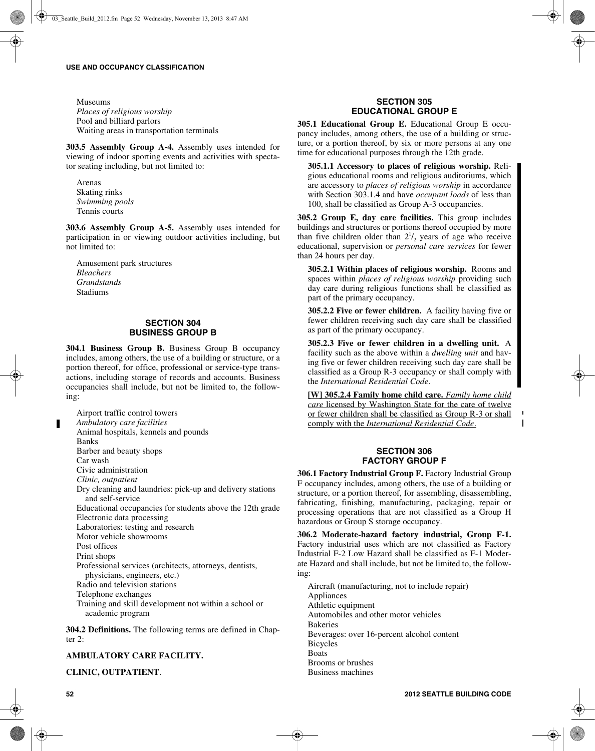Museums *Places of religious worship* Pool and billiard parlors Waiting areas in transportation terminals

**303.5 Assembly Group A-4.** Assembly uses intended for viewing of indoor sporting events and activities with spectator seating including, but not limited to:

Arenas Skating rinks *Swimming pools* Tennis courts

**303.6 Assembly Group A-5.** Assembly uses intended for participation in or viewing outdoor activities including, but not limited to:

Amusement park structures *Bleachers Grandstands* Stadiums

## **SECTION 304 BUSINESS GROUP B**

**304.1 Business Group B.** Business Group B occupancy includes, among others, the use of a building or structure, or a portion thereof, for office, professional or service-type transactions, including storage of records and accounts. Business occupancies shall include, but not be limited to, the following:

Airport traffic control towers *Ambulatory care facilities*  Animal hospitals, kennels and pounds Banks Barber and beauty shops Car wash Civic administration *Clinic, outpatient* Dry cleaning and laundries: pick-up and delivery stations and self-service Educational occupancies for students above the 12th grade Electronic data processing Laboratories: testing and research Motor vehicle showrooms Post offices Print shops Professional services (architects, attorneys, dentists, physicians, engineers, etc.) Radio and television stations Telephone exchanges Training and skill development not within a school or academic program

**304.2 Definitions.** The following terms are defined in Chapter 2:

# **AMBULATORY CARE FACILITY.**

**CLINIC, OUTPATIENT**.

## **SECTION 305 EDUCATIONAL GROUP E**

**305.1 Educational Group E.** Educational Group E occupancy includes, among others, the use of a building or structure, or a portion thereof, by six or more persons at any one time for educational purposes through the 12th grade.

**305.1.1 Accessory to places of religious worship.** Religious educational rooms and religious auditoriums, which are accessory to *places of religious worship* in accordance with Section 303.1.4 and have *occupant loads* of less than 100, shall be classified as Group A-3 occupancies.

**305.2 Group E, day care facilities.** This group includes buildings and structures or portions thereof occupied by more than five children older than  $2^{1/2}$  years of age who receive educational, supervision or *personal care services* for fewer than 24 hours per day.

**305.2.1 Within places of religious worship.** Rooms and spaces within *places of religious worship* providing such day care during religious functions shall be classified as part of the primary occupancy.

**305.2.2 Five or fewer children.** A facility having five or fewer children receiving such day care shall be classified as part of the primary occupancy.

**305.2.3 Five or fewer children in a dwelling unit.** A facility such as the above within a *dwelling unit* and having five or fewer children receiving such day care shall be classified as a Group R-3 occupancy or shall comply with the *International Residential Code*.

**[W] 305.2.4 Family home child care.** *Family home child care* licensed by Washington State for the care of twelve or fewer children shall be classified as Group R-3 or shall comply with the *International Residential Code*.

 $\mathbf{I}$ 

### **SECTION 306 FACTORY GROUP F**

**306.1 Factory Industrial Group F.** Factory Industrial Group F occupancy includes, among others, the use of a building or structure, or a portion thereof, for assembling, disassembling, fabricating, finishing, manufacturing, packaging, repair or processing operations that are not classified as a Group H hazardous or Group S storage occupancy.

**306.2 Moderate-hazard factory industrial, Group F-1.** Factory industrial uses which are not classified as Factory Industrial F-2 Low Hazard shall be classified as F-1 Moderate Hazard and shall include, but not be limited to, the following:

Aircraft (manufacturing, not to include repair) Appliances Athletic equipment Automobiles and other motor vehicles Bakeries Beverages: over 16-percent alcohol content Bicycles Boats Brooms or brushes Business machines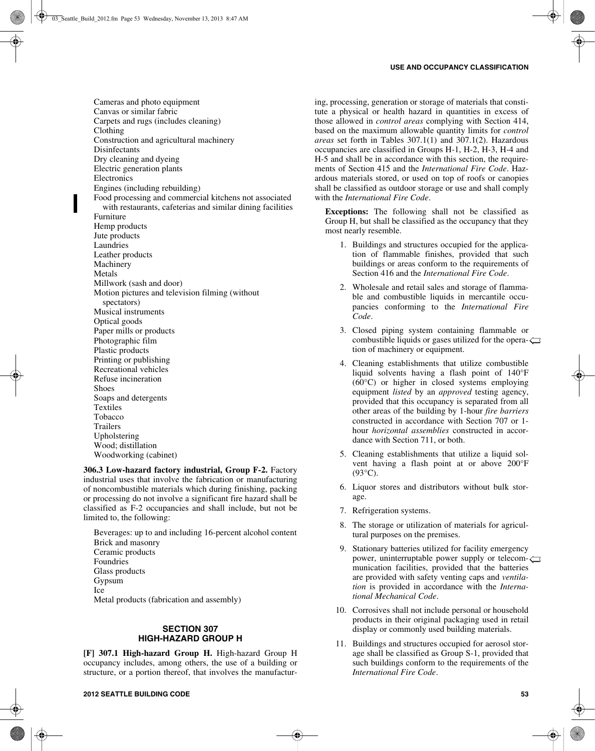Cameras and photo equipment Canvas or similar fabric Carpets and rugs (includes cleaning) Clothing Construction and agricultural machinery Disinfectants Dry cleaning and dyeing Electric generation plants **Electronics** Engines (including rebuilding) Food processing and commercial kitchens not associated with restaurants, cafeterias and similar dining facilities Furniture Hemp products Jute products Laundries Leather products Machinery Metals Millwork (sash and door) Motion pictures and television filming (without spectators) Musical instruments Optical goods Paper mills or products Photographic film Plastic products Printing or publishing Recreational vehicles Refuse incineration Shoes Soaps and detergents Textiles Tobacco **Trailers** Upholstering Wood; distillation Woodworking (cabinet)

**306.3 Low-hazard factory industrial, Group F-2.** Factory industrial uses that involve the fabrication or manufacturing of noncombustible materials which during finishing, packing or processing do not involve a significant fire hazard shall be classified as F-2 occupancies and shall include, but not be limited to, the following:

Beverages: up to and including 16-percent alcohol content Brick and masonry Ceramic products Foundries Glass products Gypsum Ice Metal products (fabrication and assembly)

#### **SECTION 307 HIGH-HAZARD GROUP H**

**[F] 307.1 High-hazard Group H.** High-hazard Group H occupancy includes, among others, the use of a building or structure, or a portion thereof, that involves the manufacturing, processing, generation or storage of materials that constitute a physical or health hazard in quantities in excess of those allowed in *control areas* complying with Section 414, based on the maximum allowable quantity limits for *control areas* set forth in Tables 307.1(1) and 307.1(2). Hazardous occupancies are classified in Groups H-1, H-2, H-3, H-4 and H-5 and shall be in accordance with this section, the requirements of Section 415 and the *International Fire Code*. Hazardous materials stored, or used on top of roofs or canopies shall be classified as outdoor storage or use and shall comply with the *International Fire Code*.

**Exceptions:** The following shall not be classified as Group H, but shall be classified as the occupancy that they most nearly resemble.

- 1. Buildings and structures occupied for the application of flammable finishes, provided that such buildings or areas conform to the requirements of Section 416 and the *International Fire Code*.
- 2. Wholesale and retail sales and storage of flammable and combustible liquids in mercantile occupancies conforming to the *International Fire Code*.
- 3. Closed piping system containing flammable or combustible liquids or gases utilized for the opera- $\leftarrow$ tion of machinery or equipment.
- 4. Cleaning establishments that utilize combustible liquid solvents having a flash point of 140°F (60°C) or higher in closed systems employing equipment *listed* by an *approved* testing agency, provided that this occupancy is separated from all other areas of the building by 1-hour *fire barriers* constructed in accordance with Section 707 or 1 hour *horizontal assemblies* constructed in accordance with Section 711, or both.
- 5. Cleaning establishments that utilize a liquid solvent having a flash point at or above 200°F  $(93^{\circ}C)$ .
- 6. Liquor stores and distributors without bulk storage.
- 7. Refrigeration systems.
- 8. The storage or utilization of materials for agricultural purposes on the premises.
- 9. Stationary batteries utilized for facility emergency power, uninterruptable power supply or telecom- $\leftarrow$ munication facilities, provided that the batteries are provided with safety venting caps and *ventilation* is provided in accordance with the *International Mechanical Code*.
- 10. Corrosives shall not include personal or household products in their original packaging used in retail display or commonly used building materials.
- 11. Buildings and structures occupied for aerosol storage shall be classified as Group S-1, provided that such buildings conform to the requirements of the *International Fire Code*.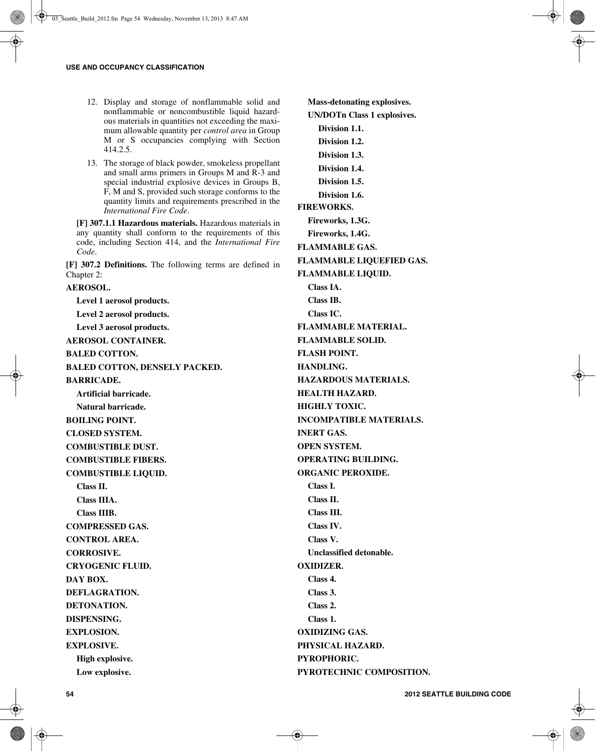- 12. Display and storage of nonflammable solid and nonflammable or noncombustible liquid hazardous materials in quantities not exceeding the maximum allowable quantity per *control area* in Group M or S occupancies complying with Section 414.2.5.
- 13. The storage of black powder, smokeless propellant and small arms primers in Groups M and R-3 and special industrial explosive devices in Groups B, F, M and S, provided such storage conforms to the quantity limits and requirements prescribed in the *International Fire Code*.

**[F] 307.1.1 Hazardous materials.** Hazardous materials in any quantity shall conform to the requirements of this code, including Section 414, and the *International Fire Code*.

**[F] 307.2 Definitions.** The following terms are defined in Chapter 2:

**Level 1 aerosol products. Level 2 aerosol products. Level 3 aerosol products. AEROSOL CONTAINER. BALED COTTON. BALED COTTON, DENSELY PACKED. BARRICADE. Artificial barricade. Natural barricade. BOILING POINT. CLOSED SYSTEM. COMBUSTIBLE DUST. COMBUSTIBLE FIBERS. COMBUSTIBLE LIQUID. Class II. Class IIIA. Class IIIB. COMPRESSED GAS. CONTROL AREA. CORROSIVE. CRYOGENIC FLUID. DAY BOX. DEFLAGRATION. DETONATION. DISPENSING. EXPLOSION. EXPLOSIVE. High explosive. Low explosive.**

**AEROSOL.**

**Mass-detonating explosives. UN/DOTn Class 1 explosives. Division 1.1. Division 1.2. Division 1.3. Division 1.4. Division 1.5. Division 1.6. FIREWORKS. Fireworks, 1.3G. Fireworks, 1.4G. FLAMMABLE GAS. FLAMMABLE LIQUEFIED GAS. FLAMMABLE LIQUID. Class IA. Class IB. Class IC. FLAMMABLE MATERIAL. FLAMMABLE SOLID. FLASH POINT. HANDLING. HAZARDOUS MATERIALS. HEALTH HAZARD. HIGHLY TOXIC. INCOMPATIBLE MATERIALS. INERT GAS. OPEN SYSTEM. OPERATING BUILDING. ORGANIC PEROXIDE. Class I. Class II. Class III. Class IV. Class V. Unclassified detonable. OXIDIZER. Class 4. Class 3. Class 2. Class 1. OXIDIZING GAS. PHYSICAL HAZARD. PYROPHORIC. PYROTECHNIC COMPOSITION.**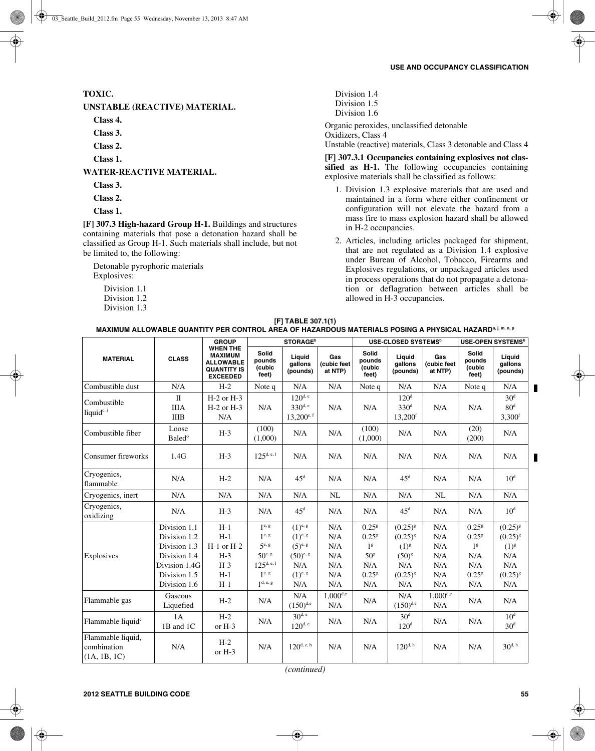# **TOXIC.**

**UNSTABLE (REACTIVE) MATERIAL.**

**Class 4.**

**Class 3.**

**Class 2.**

**Class 1.**

**WATER-REACTIVE MATERIAL.**

- **Class 3.**
- **Class 2.**

**Class 1.**

**[F] 307.3 High-hazard Group H-1.** Buildings and structures containing materials that pose a detonation hazard shall be classified as Group H-1. Such materials shall include, but not be limited to, the following:

Detonable pyrophoric materials Explosives:

- Division 1.1
- Division 1.2
- Division 1.3

Division 1.4 Division 1.5 Division 1.6 Organic peroxides, unclassified detonable Oxidizers, Class 4

Unstable (reactive) materials, Class 3 detonable and Class 4

**[F] 307.3.1 Occupancies containing explosives not clas**sified as H-1. The following occupancies containing explosive materials shall be classified as follows:

- 1. Division 1.3 explosive materials that are used and maintained in a form where either confinement or configuration will not elevate the hazard from a mass fire to mass explosion hazard shall be allowed in H-2 occupancies.
- 2. Articles, including articles packaged for shipment, that are not regulated as a Division 1.4 explosive under Bureau of Alcohol, Tobacco, Firearms and Explosives regulations, or unpackaged articles used in process operations that do not propagate a detonation or deflagration between articles shall be allowed in H-3 occupancies.

| [F] TABLE 307.1(1)                                                                                      |
|---------------------------------------------------------------------------------------------------------|
| MAXIMUM ALLOWABLE QUANTITY PER CONTROL AREA OF HAZARDOUS MATERIALS POSING A PHYSICAL HAZARDª j, m, n, p |

|                                                  | <b>CLASS</b>                                                                                                             | <b>GROUP</b><br><b>WHEN THE</b><br><b>MAXIMUM</b><br><b>ALLOWABLE</b><br><b>QUANTITY IS</b><br><b>EXCEEDED</b> | <b>STORAGE</b> <sup>b</sup>                                                                                                                                                            |                                                                                                    |                                                                | USE-CLOSED SYSTEMS <sup>b</sup>                                                                         |                                                                                              |                                                                | <b>USE-OPEN SYSTEMS</b> <sup>b</sup>                                                               |                                                                                |
|--------------------------------------------------|--------------------------------------------------------------------------------------------------------------------------|----------------------------------------------------------------------------------------------------------------|----------------------------------------------------------------------------------------------------------------------------------------------------------------------------------------|----------------------------------------------------------------------------------------------------|----------------------------------------------------------------|---------------------------------------------------------------------------------------------------------|----------------------------------------------------------------------------------------------|----------------------------------------------------------------|----------------------------------------------------------------------------------------------------|--------------------------------------------------------------------------------|
| <b>MATERIAL</b>                                  |                                                                                                                          |                                                                                                                | <b>Solid</b><br>pounds<br>(cubic<br>feet)                                                                                                                                              | Liauid<br>gallons<br>(pounds)                                                                      | Gas<br>(cubic feet<br>at NTP)                                  | <b>Solid</b><br>pounds<br>(cubic<br>feet)                                                               | Liauid<br>gallons<br>(pounds)                                                                | Gas<br>(cubic feet<br>at NTP)                                  | Solid<br>pounds<br>(cubic<br>feet)                                                                 | Liquid<br>gallons<br>(pounds)                                                  |
| Combustible dust                                 | N/A                                                                                                                      | $H-2$                                                                                                          | Note q                                                                                                                                                                                 | N/A                                                                                                | N/A                                                            | Note q                                                                                                  | N/A                                                                                          | N/A                                                            | Note q                                                                                             | N/A                                                                            |
| Combustible<br>liquid <sup>c, i</sup>            | $\mathbf{I}$<br><b>IIIA</b><br><b>IIIB</b>                                                                               | $H-2$ or $H-3$<br>$H-2$ or $H-3$<br>N/A                                                                        | N/A                                                                                                                                                                                    | $120^{d, e}$<br>$330^{d, e}$<br>$13,200^{e,f}$                                                     | N/A                                                            | N/A                                                                                                     | 120 <sup>d</sup><br>330 <sup>d</sup><br>13,200 <sup>f</sup>                                  | N/A                                                            | N/A                                                                                                | 30 <sup>d</sup><br>80 <sup>d</sup><br>3,300 <sup>f</sup>                       |
| Combustible fiber                                | Loose<br><b>Baled</b> <sup>o</sup>                                                                                       | $H-3$                                                                                                          | (100)<br>(1,000)                                                                                                                                                                       | N/A                                                                                                | N/A                                                            | (100)<br>(1,000)                                                                                        | N/A                                                                                          | N/A                                                            | (20)<br>(200)                                                                                      | N/A                                                                            |
| Consumer fireworks                               | 1.4G                                                                                                                     | $H-3$                                                                                                          | $125^{d, e, 1}$                                                                                                                                                                        | N/A                                                                                                | N/A                                                            | N/A                                                                                                     | N/A                                                                                          | N/A                                                            | N/A                                                                                                | N/A                                                                            |
| Cryogenics,<br>flammable                         | N/A                                                                                                                      | $H-2$                                                                                                          | N/A                                                                                                                                                                                    | $45^{\rm d}$                                                                                       | N/A                                                            | N/A                                                                                                     | 45 <sup>d</sup>                                                                              | N/A                                                            | N/A                                                                                                | 10 <sup>d</sup>                                                                |
| Cryogenics, inert                                | N/A                                                                                                                      | N/A                                                                                                            | N/A                                                                                                                                                                                    | N/A                                                                                                | NL                                                             | N/A                                                                                                     | N/A                                                                                          | NL                                                             | N/A                                                                                                | N/A                                                                            |
| Cryogenics,<br>oxidizing                         | N/A                                                                                                                      | $H-3$                                                                                                          | N/A                                                                                                                                                                                    | $45^d$                                                                                             | N/A                                                            | N/A                                                                                                     | 45 <sup>d</sup>                                                                              | N/A                                                            | N/A                                                                                                | 10 <sup>d</sup>                                                                |
| Explosives                                       | Division 1.1<br>Division 1.2<br>Division 1.3<br>Division 1.4<br>Division 1.4G<br>Division 1.5<br>Division 1.6<br>Gaseous | $H-1$<br>$H-1$<br>$H-1$ or $H-2$<br>$H-3$<br>$H-3$<br>$H-1$<br>$H-1$                                           | $1^{\text{e}, \, \text{g}}$<br>$1^{\text{e}, \text{g}}$<br>$5^{\text{e}, \text{ g}}$<br>$50^{\text{e},\text{ g}}$<br>$125^{\text{d}, e, 1}$<br>$1^{\text{e}, \text{g}}$<br>$1d$ , e, g | $(1)^{e, g}$<br>$(1)^{e, g}$<br>$(5)^{e, g}$<br>$(50)^{e, g}$<br>N/A<br>$(1)^{e, g}$<br>N/A<br>N/A | N/A<br>N/A<br>N/A<br>N/A<br>N/A<br>N/A<br>N/A<br>$1,000^{d,e}$ | 0.25 <sup>g</sup><br>0.25 <sup>g</sup><br>1 <sup>g</sup><br>50 <sup>g</sup><br>N/A<br>$0.25^{8}$<br>N/A | $(0.25)^{8}$<br>$(0.25)^{g}$<br>$(1)^{g}$<br>$(50)^{g}$<br>N/A<br>$(0.25)^{g}$<br>N/A<br>N/A | N/A<br>N/A<br>N/A<br>N/A<br>N/A<br>N/A<br>N/A<br>$1,000^{d,e}$ | 0.25 <sup>g</sup><br>0.25 <sup>g</sup><br>1 <sup>g</sup><br>N/A<br>N/A<br>0.25 <sup>g</sup><br>N/A | $(0.25)^{8}$<br>$(0.25)^{g}$<br>$(1)^{g}$<br>N/A<br>N/A<br>$(0.25)^{8}$<br>N/A |
| Flammable gas                                    | Liquefied                                                                                                                | $H-2$                                                                                                          | N/A                                                                                                                                                                                    | $(150)^{d,e}$                                                                                      | N/A                                                            | N/A                                                                                                     | $(150)^{d,e}$                                                                                | N/A                                                            | N/A                                                                                                | N/A                                                                            |
| Flammable liquid <sup>c</sup>                    | 1A<br>1B and 1C                                                                                                          | $H-2$<br>or H-3                                                                                                | N/A                                                                                                                                                                                    | $30^{d,e}$<br>$120^{d, e}$                                                                         | N/A                                                            | N/A                                                                                                     | 30 <sup>d</sup><br>120 <sup>d</sup>                                                          | N/A                                                            | N/A                                                                                                | 10 <sup>d</sup><br>30 <sup>d</sup>                                             |
| Flammable liquid,<br>combination<br>(1A, 1B, 1C) | N/A                                                                                                                      | $H-2$<br>or $H-3$                                                                                              | N/A                                                                                                                                                                                    | $120^{d, e, h}$                                                                                    | N/A                                                            | N/A                                                                                                     | $120^{d, h}$                                                                                 | N/A                                                            | N/A                                                                                                | $30^{d, h}$                                                                    |

*(continued)*

П

П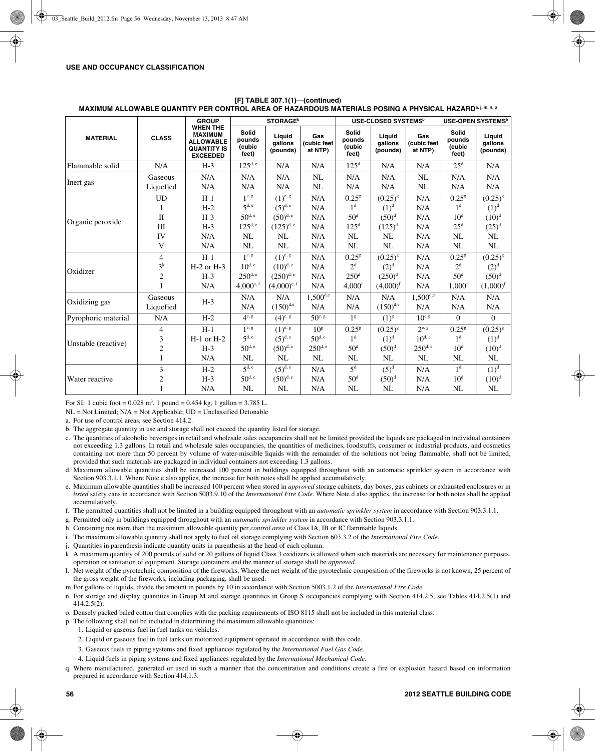|                     | <b>CLASS</b>                             | <b>GROUP</b>                                                                                   | <b>STORAGE</b> <sup>b</sup>                                       |                                                                  |                                                      | USE-CLOSED SYSTEMS <sup>b</sup>                                        |                                                              |                                                | <b>USE-OPEN SYSTEMS<sup>b</sup></b>                                      |                                                    |
|---------------------|------------------------------------------|------------------------------------------------------------------------------------------------|-------------------------------------------------------------------|------------------------------------------------------------------|------------------------------------------------------|------------------------------------------------------------------------|--------------------------------------------------------------|------------------------------------------------|--------------------------------------------------------------------------|----------------------------------------------------|
| <b>MATERIAL</b>     |                                          | <b>WHEN THE</b><br><b>MAXIMUM</b><br><b>ALLOWABLE</b><br><b>QUANTITY IS</b><br><b>EXCEEDED</b> | Solid<br>pounds<br>(cubic<br>feet)                                | Liquid<br>qallons<br>(pounds)                                    | Gas<br>(cubic feet<br>at NTP)                        | Solid<br>pounds<br>(cubic<br>feet)                                     | Liquid<br>qallons<br>(pounds)                                | Gas<br>(cubic feet<br>at NTP)                  | Solid<br>pounds<br>(cubic<br>feet)                                       | Liquid<br>qallons<br>(pounds)                      |
| Flammable solid     | N/A                                      | $H-3$                                                                                          | $125^{d, e}$                                                      | N/A                                                              | N/A                                                  | $125^{\rm d}$                                                          | N/A                                                          | N/A                                            | $25^{\rm d}$                                                             | N/A                                                |
| Inert gas           | Gaseous<br>Liquefied                     | N/A<br>N/A                                                                                     | N/A<br>N/A                                                        | N/A<br>N/A                                                       | NL<br>NL                                             | N/A<br>N/A                                                             | N/A<br>N/A                                                   | NL<br>NL                                       | N/A<br>N/A                                                               | N/A<br>N/A                                         |
|                     | <b>UD</b><br>I                           | $H-1$<br>$H-2$                                                                                 | $1^e$ , g<br>5 <sup>d, e</sup>                                    | $(1)^{e, g}$<br>$(5)^{d,e}$                                      | N/A<br>N/A                                           | 0.25 <sup>g</sup><br>1 <sup>d</sup>                                    | $(0.25)^{g}$<br>$(1)^d$                                      | N/A<br>N/A                                     | 0.25 <sup>g</sup><br>1 <sup>d</sup>                                      | $(0.25)^{g}$<br>$(1)^d$                            |
| Organic peroxide    | $\mathbf{I}$<br>III<br>IV                | $H-3$<br>$H-3$<br>N/A                                                                          | $50^{d, e}$<br>$125^{d, e}$<br>NL                                 | $(50)^{d,e}$<br>$(125)^{d,e}$<br>NL                              | N/A<br>N/A<br>N/A                                    | 50 <sup>d</sup><br>125 <sup>d</sup><br>NL                              | $(50)^d$<br>$(125)^{d}$<br>NL                                | N/A<br>N/A<br>N/A                              | 10 <sup>d</sup><br>$25^d$<br><b>NL</b>                                   | $(10)^d$<br>$(25)^d$<br>NL                         |
|                     | V                                        | N/A                                                                                            | NL                                                                | NL                                                               | N/A                                                  | NL                                                                     | <b>NL</b>                                                    | N/A                                            | NL                                                                       | NL                                                 |
| Oxidizer            | 4<br>$3^k$<br>$\overline{c}$             | $H-1$<br>$H-2$ or $H-3$<br>$H-3$<br>N/A                                                        | $1^e$ , g<br>$10^{d, e}$<br>$250^{d, e}$<br>$4,000^{\text{e}, f}$ | $(1)^{e, g}$<br>$(10)^{d,e}$<br>$(250)^{d,e}$<br>$(4,000)^{e,f}$ | N/A<br>N/A<br>N/A<br>N/A                             | $0.25^{8}$<br>2 <sup>d</sup><br>250 <sup>d</sup><br>4,000 <sup>f</sup> | $(0.25)^{g}$<br>(2) <sup>d</sup><br>$(250)^d$<br>$(4,000)^f$ | N/A<br>N/A<br>N/A<br>N/A                       | $0.25^{\rm g}$<br>2 <sup>d</sup><br>$50^{\rm d}$<br>$1,000$ <sup>f</sup> | $(0.25)^{g}$<br>$(2)^d$<br>$(50)^d$<br>$(1,000)^f$ |
| Oxidizing gas       | Gaseous<br>Liquefied                     | $H-3$                                                                                          | N/A<br>N/A                                                        | N/A<br>$(150)^{d,e}$                                             | $1,500^{d,e}$<br>N/A                                 | N/A<br>N/A                                                             | N/A<br>$(150)^{d,e}$                                         | $1,500^{d,e}$<br>N/A                           | N/A<br>N/A                                                               | N/A<br>N/A                                         |
| Pyrophoric material | N/A                                      | $H-2$                                                                                          | $4^{e, g}$                                                        | $(4)^{e, g}$                                                     | $50^{e, g}$                                          | 1 <sup>g</sup>                                                         | $(1)^{g}$                                                    | $10^{e,g}$                                     | $\Omega$                                                                 | $\Omega$                                           |
| Unstable (reactive) | 4<br>3<br>$\overline{c}$<br>$\mathbf{1}$ | $H-1$<br>$H-1$ or $H-2$<br>$H-3$<br>N/A                                                        | 1e, g<br>$5^{d, e}$<br>$50^{d, e}$<br>NL                          | $(1)^{e, g}$<br>$(5)^{d,e}$<br>$(50)^{d, e}$<br>NL               | 10 <sup>g</sup><br>$50^{d, e}$<br>$250^{d, e}$<br>NL | 0.25 <sup>g</sup><br>1 <sup>d</sup><br>$50^{\rm d}$<br>NL              | $(0.25)^{g}$<br>$(1)^d$<br>$(50)^d$<br>NL                    | $2^e$ , g<br>$10^{d, e}$<br>$250^{d, e}$<br>NL | $0.25$ <sup>g</sup><br>1 <sup>d</sup><br>10 <sup>d</sup><br><b>NL</b>    | $(0.25)^{8}$<br>$(1)^d$<br>$(10)^d$<br>NL          |
| Water reactive      | 3<br>$\overline{c}$<br>$\mathbf{1}$      | $H-2$<br>$H-3$<br>N/A                                                                          | 5 <sup>d, e</sup><br>$50^{d, e}$<br><b>NL</b>                     | $(5)^{d,e}$<br>$(50)^{d,e}$<br>NL                                | N/A<br>N/A<br>N/A                                    | $5^d$<br>50 <sup>d</sup><br><b>NL</b>                                  | $(5)^d$<br>$(50)^d$<br><b>NL</b>                             | N/A<br>N/A<br>N/A                              | 1 <sup>d</sup><br>10 <sup>d</sup><br><b>NL</b>                           | $(1)^d$<br>$(10)^d$<br>NL                          |

#### **[F] TABLE 307.1(1)**—**(continued**) **MAXIMUM ALLOWABLE QUANTITY PER CONTROL AREA OF HAZARDOUS MATERIALS POSING A PHYSICAL HAZARD<sup>a, j, m, n, p**</sup>

For SI: 1 cubic foot =  $0.028$  m<sup>3</sup>, 1 pound =  $0.454$  kg, 1 gallon =  $3.785$  L.

 $NL = Not Limited$ ;  $N/A = Not Applied$ ;  $UD = Unclassified Detonable$ 

a. For use of control areas, see Section 414.2.

b. The aggregate quantity in use and storage shall not exceed the quantity listed for storage.

- c. The quantities of alcoholic beverages in retail and wholesale sales occupancies shall not be limited provided the liquids are packaged in individual containers not exceeding 1.3 gallons. In retail and wholesale sales occupancies, the quantities of medicines, foodstuffs, consumer or industrial products, and cosmetics containing not more than 50 percent by volume of water-miscible liquids with the remainder of the solutions not being flammable, shall not be limited, provided that such materials are packaged in individual containers not exceeding 1.3 gallons.
- d. Maximum allowable quantities shall be increased 100 percent in buildings equipped throughout with an automatic sprinkler system in accordance with Section 903.3.1.1. Where Note e also applies, the increase for both notes shall be applied accumulatively.
- e. Maximum allowable quantities shall be increased 100 percent when stored in *approved* storage cabinets, day boxes, gas cabinets or exhausted enclosures or in *listed* safety cans in accordance with Section 5003.9.10 of the *International Fire Code*. Where Note d also applies, the increase for both notes shall be applied accumulatively.
- f. The permitted quantities shall not be limited in a building equipped throughout with an *automatic sprinkler system* in accordance with Section 903.3.1.1.
- g. Permitted only in buildings equipped throughout with an *automatic sprinkler system* in accordance with Section 903.3.1.1.

h. Containing not more than the maximum allowable quantity per *control area* of Class IA, IB or IC flammable liquids.

- i. The maximum allowable quantity shall not apply to fuel oil storage complying with Section 603.3.2 of the *International Fire Code*.
- j. Quantities in parenthesis indicate quantity units in parenthesis at the head of each column.
- k. A maximum quantity of 200 pounds of solid or 20 gallons of liquid Class 3 oxidizers is allowed when such materials are necessary for maintenance purposes, operation or sanitation of equipment. Storage containers and the manner of storage shall be *approved*.

l. Net weight of the pyrotechnic composition of the fireworks. Where the net weight of the pyrotechnic composition of the fireworks is not known, 25 percent of the gross weight of the fireworks, including packaging, shall be used.

m.For gallons of liquids, divide the amount in pounds by 10 in accordance with Section 5003.1.2 of the *International Fire Code*.

n. For storage and display quantities in Group M and storage quantities in Group S occupancies complying with Section 414.2.5, see Tables 414.2.5(1) and 414.2.5(2).

o. Densely packed baled cotton that complies with the packing requirements of ISO 8115 shall not be included in this material class.

p. The following shall not be included in determining the maximum allowable quantities:

- 1. Liquid or gaseous fuel in fuel tanks on vehicles.
- 2. Liquid or gaseous fuel in fuel tanks on motorized equipment operated in accordance with this code.
- 3. Gaseous fuels in piping systems and fixed appliances regulated by the *International Fuel Gas Code.*
- 4. Liquid fuels in piping systems and fixed appliances regulated by the *International Mechanical Code*.
- q. Where manufactured, generated or used in such a manner that the concentration and conditions create a fire or explosion hazard based on information prepared in accordance with Section 414.1.3.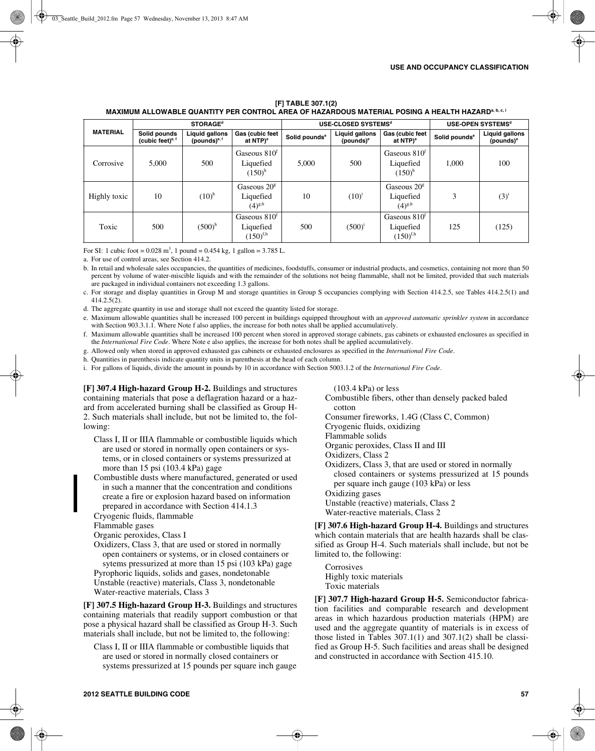#### **[F] TABLE 307.1(2) MAXIMUM ALLOWABLE QUANTITY PER CONTROL AREA OF HAZARDOUS MATERIAL POSING A HEALTH HAZARD<sup>a, b, c, i**</sup>

| <b>MATERIAL</b> |                                     | <b>STORAGE<sup>d</sup></b>               |                                              |                           | USE-CLOSED SYSTEMS <sup>d</sup>                | USE-OPEN SYSTEMS <sup>d</sup>                          |                           |                                         |
|-----------------|-------------------------------------|------------------------------------------|----------------------------------------------|---------------------------|------------------------------------------------|--------------------------------------------------------|---------------------------|-----------------------------------------|
|                 | Solid pounds<br>(cubic feet) $e, f$ | <b>Liquid gallons</b><br>(pounds) $e, f$ | Gas (cubic feet<br>at NTP) <sup>e</sup>      | Solid pounds <sup>e</sup> | <b>Liquid gallons</b><br>(pounds) <sup>e</sup> | Gas (cubic feet<br>at NTP) <sup>e</sup>                | Solid pounds <sup>e</sup> | Liquid gallons<br>(pounds) <sup>e</sup> |
| Corrosive       | 5,000                               | 500                                      | Gaseous $810t$<br>Liquefied<br>$(150)^{h}$   | 5,000                     | 500                                            | Gaseous 810 <sup>f</sup><br>Liquefied<br>$(150)^{h}$   | 1,000                     | 100                                     |
| Highly toxic    | 10                                  | $(10)^{h}$                               | Gaseous $20g$<br>Liquefied<br>$(4)^{g,h}$    | 10                        | $(10)^{i}$                                     | Gaseous $20g$<br>Liquefied<br>$(4)^{g,h}$              | 3                         | $(3)^{i}$                               |
| Toxic           | 500                                 | $(500)^h$                                | Gaseous $810t$<br>Liquefied<br>$(150)^{f,h}$ | 500                       | $(500)^{i}$                                    | Gaseous 810 <sup>f</sup><br>Liquefied<br>$(150)^{f,h}$ | 125                       | (125)                                   |

For SI: 1 cubic foot =  $0.028$  m<sup>3</sup>, 1 pound =  $0.454$  kg, 1 gallon =  $3.785$  L.

a. For use of control areas, see Section 414.2.

b. In retail and wholesale sales occupancies, the quantities of medicines, foodstuffs, consumer or industrial products, and cosmetics, containing not more than 50 percent by volume of water-miscible liquids and with the remainder of the solutions not being flammable, shall not be limited, provided that such materials are packaged in individual containers not exceeding 1.3 gallons.

c. For storage and display quantities in Group M and storage quantities in Group S occupancies complying with Section 414.2.5, see Tables 414.2.5(1) and 414.2.5(2).

d. The aggregate quantity in use and storage shall not exceed the quantity listed for storage.

e. Maximum allowable quantities shall be increased 100 percent in buildings equipped throughout with an *approved automatic sprinkler system* in accordance with Section 903.3.1.1. Where Note f also applies, the increase for both notes shall be applied accumulatively.

f. Maximum allowable quantities shall be increased 100 percent when stored in approved storage cabinets, gas cabinets or exhausted enclosures as specified in the *International Fire Code*. Where Note e also applies, the increase for both notes shall be applied accumulatively.

g. Allowed only when stored in approved exhausted gas cabinets or exhausted enclosures as specified in the *International Fire Code*.

h. Quantities in parenthesis indicate quantity units in parenthesis at the head of each column.

i. For gallons of liquids, divide the amount in pounds by 10 in accordance with Section 5003.1.2 of the *International Fire Code*.

**[F] 307.4 High-hazard Group H-2.** Buildings and structures containing materials that pose a deflagration hazard or a hazard from accelerated burning shall be classified as Group H-2. Such materials shall include, but not be limited to, the following:

- Class I, II or IIIA flammable or combustible liquids which are used or stored in normally open containers or systems, or in closed containers or systems pressurized at more than 15 psi (103.4 kPa) gage
- Combustible dusts where manufactured, generated or used in such a manner that the concentration and conditions create a fire or explosion hazard based on information prepared in accordance with Section 414.1.3

Cryogenic fluids, flammable

Flammable gases

Organic peroxides, Class I

Oxidizers, Class 3, that are used or stored in normally open containers or systems, or in closed containers or sytems pressurized at more than 15 psi (103 kPa) gage Pyrophoric liquids, solids and gases, nondetonable Unstable (reactive) materials, Class 3, nondetonable Water-reactive materials, Class 3

**[F] 307.5 High-hazard Group H-3.** Buildings and structures containing materials that readily support combustion or that pose a physical hazard shall be classified as Group H-3. Such materials shall include, but not be limited to, the following:

Class I, II or IIIA flammable or combustible liquids that are used or stored in normally closed containers or systems pressurized at 15 pounds per square inch gauge (103.4 kPa) or less

Combustible fibers, other than densely packed baled cotton

Consumer fireworks, 1.4G (Class C, Common)

Cryogenic fluids, oxidizing

Flammable solids

Organic peroxides, Class II and III

Oxidizers, Class 2

Oxidizers, Class 3, that are used or stored in normally closed containers or systems pressurized at 15 pounds per square inch gauge (103 kPa) or less

Oxidizing gases

Unstable (reactive) materials, Class 2

Water-reactive materials, Class 2

**[F] 307.6 High-hazard Group H-4.** Buildings and structures which contain materials that are health hazards shall be classified as Group H-4. Such materials shall include, but not be limited to, the following:

Corrosives Highly toxic materials Toxic materials

**[F] 307.7 High-hazard Group H-5.** Semiconductor fabrication facilities and comparable research and development areas in which hazardous production materials (HPM) are used and the aggregate quantity of materials is in excess of those listed in Tables 307.1(1) and 307.1(2) shall be classified as Group H-5. Such facilities and areas shall be designed and constructed in accordance with Section 415.10.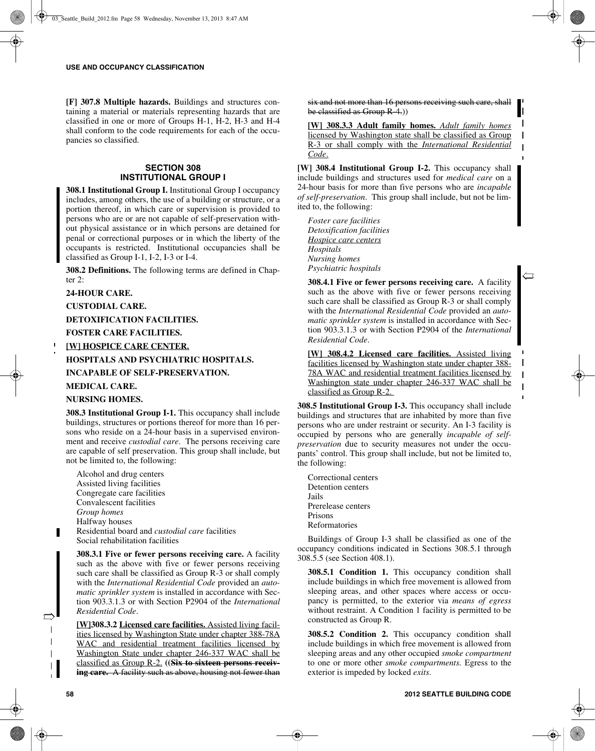**[F] 307.8 Multiple hazards.** Buildings and structures containing a material or materials representing hazards that are classified in one or more of Groups H-1, H-2, H-3 and H-4 shall conform to the code requirements for each of the occupancies so classified.

# **SECTION 308 INSTITUTIONAL GROUP I**

**308.1 Institutional Group I.** Institutional Group I occupancy includes, among others, the use of a building or structure, or a portion thereof, in which care or supervision is provided to persons who are or are not capable of self-preservation without physical assistance or in which persons are detained for penal or correctional purposes or in which the liberty of the occupants is restricted. Institutional occupancies shall be classified as Group I-1, I-2, I-3 or I-4.

**308.2 Definitions.** The following terms are defined in Chapter 2:

#### **24-HOUR CARE.**

**CUSTODIAL CARE.**

**DETOXIFICATION FACILITIES.**

#### **FOSTER CARE FACILITIES.**

## **[W] HOSPICE CARE CENTER.**

**HOSPITALS AND PSYCHIATRIC HOSPITALS.**

**INCAPABLE OF SELF-PRESERVATION.**

## **MEDICAL CARE.**

#### **NURSING HOMES.**

**308.3 Institutional Group I-1.** This occupancy shall include buildings, structures or portions thereof for more than 16 persons who reside on a 24-hour basis in a supervised environment and receive *custodial care*. The persons receiving care are capable of self preservation. This group shall include, but not be limited to, the following:

Alcohol and drug centers Assisted living facilities Congregate care facilities Convalescent facilities *Group homes* Halfway houses Residential board and *custodial care* facilities Social rehabilitation facilities

**308.3.1 Five or fewer persons receiving care.** A facility such as the above with five or fewer persons receiving such care shall be classified as Group R-3 or shall comply with the *International Residential Code* provided an *automatic sprinkler system* is installed in accordance with Section 903.3.1.3 or with Section P2904 of the *International Residential Code*.

**[W]308.3.2 Licensed care facilities.** Assisted living facilities licensed by Washington State under chapter 388-78A WAC and residential treatment facilities licensed by Washington State under chapter 246-337 WAC shall be classified as Group R-2. **((Six to sixteen persons receiving care.** A facility such as above, housing not fewer than six and not more than 16 persons receiving such care, shall be classified as Group R-4.))

**[W] 308.3.3 Adult family homes.** *Adult family homes* licensed by Washington state shall be classified as Group R-3 or shall comply with the *International Residential Code*.

**[W] 308.4 Institutional Group I-2.** This occupancy shall include buildings and structures used for *medical care* on a 24-hour basis for more than five persons who are *incapable of self-preservation*. This group shall include, but not be limited to, the following:

*Foster care facilities Detoxification facilities Hospice care centers Hospitals Nursing homes Psychiatric hospitals*

**308.4.1 Five or fewer persons receiving care.** A facility such as the above with five or fewer persons receiving such care shall be classified as Group R-3 or shall comply with the *International Residential Code* provided an *automatic sprinkler system* is installed in accordance with Section 903.3.1.3 or with Section P2904 of the *International Residential Code*.

 $\mathbf{\Xi}$ 

 $\mathbf{I}$ 

 $\mathbf{I}$ 

**[W] 308.4.2 Licensed care facilities.** Assisted living facilities licensed by Washington state under chapter 388- 78A WAC and residential treatment facilities licensed by Washington state under chapter 246-337 WAC shall be classified as Group R-2.

**308.5 Institutional Group I-3.** This occupancy shall include buildings and structures that are inhabited by more than five persons who are under restraint or security. An I-3 facility is occupied by persons who are generally *incapable of selfpreservation* due to security measures not under the occupants' control. This group shall include, but not be limited to, the following:

Correctional centers Detention centers Jails Prerelease centers Prisons Reformatories

Buildings of Group I-3 shall be classified as one of the occupancy conditions indicated in Sections 308.5.1 through 308.5.5 (see Section 408.1).

**308.5.1 Condition 1.** This occupancy condition shall include buildings in which free movement is allowed from sleeping areas, and other spaces where access or occupancy is permitted, to the exterior via *means of egress* without restraint. A Condition 1 facility is permitted to be constructed as Group R.

**308.5.2 Condition 2.** This occupancy condition shall include buildings in which free movement is allowed from sleeping areas and any other occupied *smoke compartment* to one or more other *smoke compartments.* Egress to the exterior is impeded by locked *exits*.

 $\Rightarrow$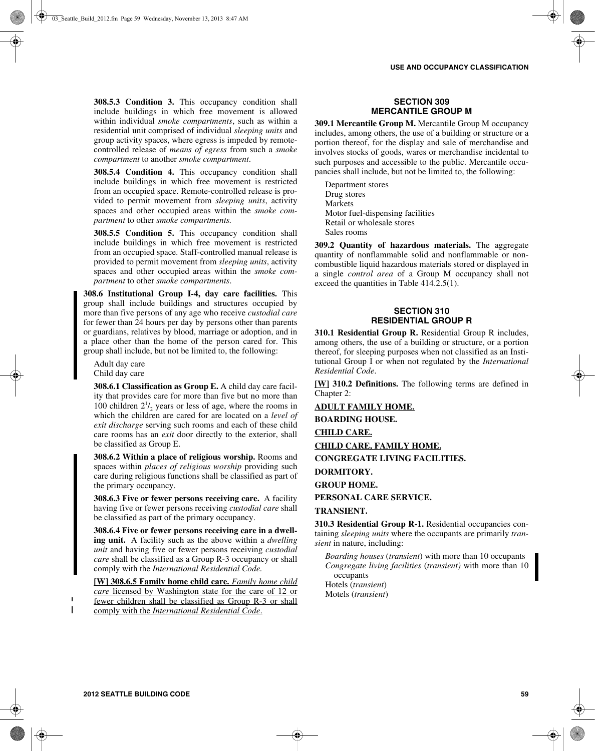**308.5.3 Condition 3.** This occupancy condition shall include buildings in which free movement is allowed within individual *smoke compartments*, such as within a residential unit comprised of individual *sleeping units* and group activity spaces, where egress is impeded by remotecontrolled release of *means of egress* from such a *smoke compartment* to another *smoke compartment*.

**308.5.4 Condition 4.** This occupancy condition shall include buildings in which free movement is restricted from an occupied space. Remote-controlled release is provided to permit movement from *sleeping units*, activity spaces and other occupied areas within the *smoke compartment* to other *smoke compartments.*

**308.5.5 Condition 5.** This occupancy condition shall include buildings in which free movement is restricted from an occupied space. Staff-controlled manual release is provided to permit movement from *sleeping units*, activity spaces and other occupied areas within the *smoke compartment* to other *smoke compartments*.

**308.6 Institutional Group I-4, day care facilities.** This group shall include buildings and structures occupied by more than five persons of any age who receive *custodial care* for fewer than 24 hours per day by persons other than parents or guardians, relatives by blood, marriage or adoption, and in a place other than the home of the person cared for. This group shall include, but not be limited to, the following:

Adult day care Child day care

**308.6.1 Classification as Group E.** A child day care facility that provides care for more than five but no more than 100 children  $2^{1}/_{2}$  years or less of age, where the rooms in which the children are cared for are located on a *level of exit discharge* serving such rooms and each of these child care rooms has an *exit* door directly to the exterior, shall be classified as Group E.

**308.6.2 Within a place of religious worship.** Rooms and spaces within *places of religious worship* providing such care during religious functions shall be classified as part of the primary occupancy.

**308.6.3 Five or fewer persons receiving care.** A facility having five or fewer persons receiving *custodial care* shall be classified as part of the primary occupancy.

**308.6.4 Five or fewer persons receiving care in a dwelling unit.** A facility such as the above within a *dwelling unit* and having five or fewer persons receiving *custodial care* shall be classified as a Group R-3 occupancy or shall comply with the *International Residential Code.*

**[W] 308.6.5 Family home child care.** *Family home child care* licensed by Washington state for the care of 12 or fewer children shall be classified as Group R-3 or shall comply with the *International Residential Code*.

## **SECTION 309 MERCANTILE GROUP M**

**309.1 Mercantile Group M.** Mercantile Group M occupancy includes, among others, the use of a building or structure or a portion thereof, for the display and sale of merchandise and involves stocks of goods, wares or merchandise incidental to such purposes and accessible to the public. Mercantile occupancies shall include, but not be limited to, the following:

Department stores Drug stores Markets Motor fuel-dispensing facilities Retail or wholesale stores Sales rooms

**309.2 Quantity of hazardous materials.** The aggregate quantity of nonflammable solid and nonflammable or noncombustible liquid hazardous materials stored or displayed in a single *control area* of a Group M occupancy shall not exceed the quantities in Table 414.2.5(1).

# **SECTION 310 RESIDENTIAL GROUP R**

**310.1 Residential Group R.** Residential Group R includes, among others, the use of a building or structure, or a portion thereof, for sleeping purposes when not classified as an Institutional Group I or when not regulated by the *International Residential Code*.

**[W] 310.2 Definitions.** The following terms are defined in Chapter 2:

**ADULT FAMILY HOME.**

**BOARDING HOUSE.**

**CHILD CARE.**

**CHILD CARE, FAMILY HOME.**

**CONGREGATE LIVING FACILITIES.**

**DORMITORY.**

**GROUP HOME.**

**PERSONAL CARE SERVICE.**

# **TRANSIENT.**

**310.3 Residential Group R-1.** Residential occupancies containing *sleeping units* where the occupants are primarily *transient* in nature, including:

*Boarding houses* (*transient*) with more than 10 occupants *Congregate living facilities* (*transient)* with more than 10 occupants Hotels (*transient*) Motels (*transient*)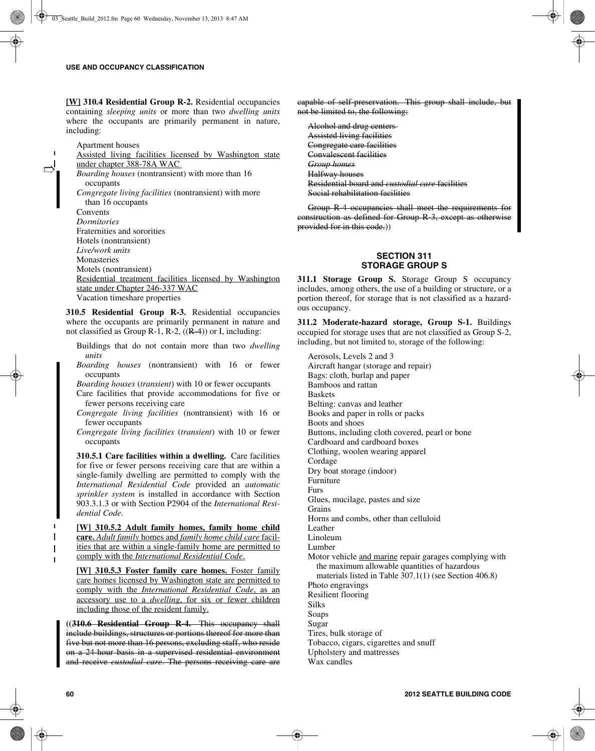$\Rightarrow$ 

**[W] 310.4 Residential Group R-2.** Residential occupancies containing *sleeping units* or more than two *dwelling units* where the occupants are primarily permanent in nature, including:

Apartment houses Assisted living facilities licensed by Washington state under chapter 388-78A WAC *Boarding houses* (nontransient) with more than 16 occupants *Congregate living facilities* (nontransient) with more than 16 occupants **Convents** *Dormitories* Fraternities and sororities Hotels (nontransient) *Live/work units* Monasteries Motels (nontransient) Residential treatment facilities licensed by Washington state under Chapter 246-337 WAC Vacation timeshare properties

**310.5 Residential Group R-3.** Residential occupancies where the occupants are primarily permanent in nature and not classified as Group R-1, R-2,  $((R-4))$  or I, including:

- Buildings that do not contain more than two *dwelling units*
- *Boarding houses* (nontransient) with 16 or fewer occupants

*Boarding houses* (*transient*) with 10 or fewer occupants

Care facilities that provide accommodations for five or fewer persons receiving care

- *Congregate living facilities* (nontransient) with 16 or fewer occupants
- *Congregate living facilities* (*transient*) with 10 or fewer occupants

**310.5.1 Care facilities within a dwelling.** Care facilities for five or fewer persons receiving care that are within a single-family dwelling are permitted to comply with the *International Residential Code* provided an *automatic sprinkler system* is installed in accordance with Section 903.3.1.3 or with Section P2904 of the *International Residential Code*.

**[W] 310.5.2 Adult family homes, family home child care.** *Adult family* homes and *family home child care* facilities that are within a single-family home are permitted to comply with the *International Residential Code*.

**[W] 310.5.3 Foster family care homes.** Foster family care homes licensed by Washington state are permitted to comply with the *International Residential Code*, as an accessory use to a *dwelling*, for six or fewer children including those of the resident family.

**((310.6 Residential Group R-4.** This occupancy shall include buildings, structures or portions thereof for more than five but not more than 16 persons, excluding staff, who reside on a 24-hour basis in a supervised residential environment and receive *custodial care*. The persons receiving care are capable of self-preservation. This group shall include, but not be limited to, the following:

Alcohol and drug centers Assisted living facilities Congregate care facilities Convalescent facilities *Group homes* Halfway houses Residential board and *custodial care* facilities Social rehabilitation facilities

Group R-4 occupancies shall meet the requirements for construction as defined for Group R-3, except as otherwise provided for in this code.))

# **SECTION 311 STORAGE GROUP S**

**311.1 Storage Group S.** Storage Group S occupancy includes, among others, the use of a building or structure, or a portion thereof, for storage that is not classified as a hazardous occupancy.

**311.2 Moderate-hazard storage, Group S-1.** Buildings occupied for storage uses that are not classified as Group S-2, including, but not limited to, storage of the following:

Aerosols, Levels 2 and 3 Aircraft hangar (storage and repair) Bags: cloth, burlap and paper Bamboos and rattan Baskets Belting: canvas and leather Books and paper in rolls or packs Boots and shoes Buttons, including cloth covered, pearl or bone Cardboard and cardboard boxes Clothing, woolen wearing apparel Cordage Dry boat storage (indoor) Furniture Furs Glues, mucilage, pastes and size Grains Horns and combs, other than celluloid **Leather** Linoleum Lumber Motor vehicle and marine repair garages complying with the maximum allowable quantities of hazardous materials listed in Table 307.1(1) (see Section 406.8) Photo engravings Resilient flooring Silks Soaps Sugar Tires, bulk storage of Tobacco, cigars, cigarettes and snuff Upholstery and mattresses Wax candles